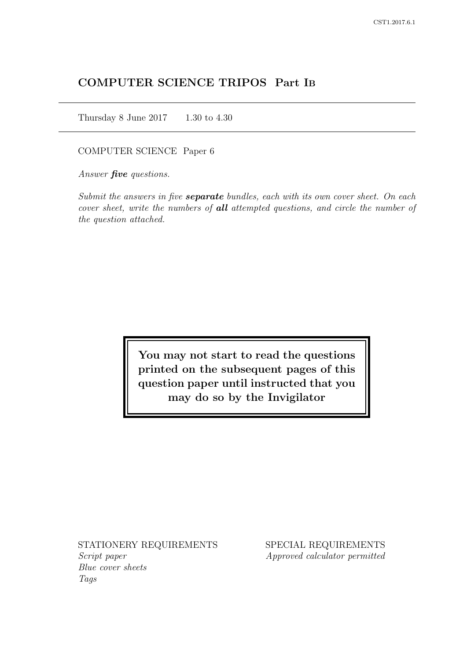# COMPUTER SCIENCE TRIPOS Part IB

Thursday 8 June 2017 1.30 to 4.30

COMPUTER SCIENCE Paper 6

Answer *five* questions.

Submit the answers in five **separate** bundles, each with its own cover sheet. On each cover sheet, write the numbers of **all** attempted questions, and circle the number of the question attached.

> You may not start to read the questions printed on the subsequent pages of this question paper until instructed that you may do so by the Invigilator

STATIONERY REQUIREMENTS Script paper Blue cover sheets

Tags

SPECIAL REQUIREMENTS Approved calculator permitted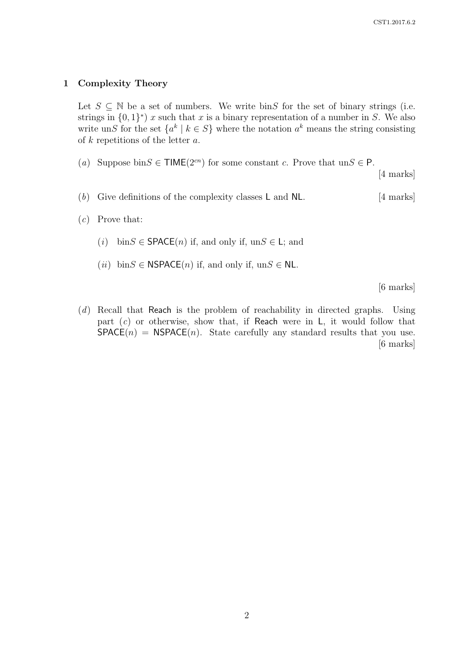#### 1 Complexity Theory

Let  $S \subseteq \mathbb{N}$  be a set of numbers. We write bins for the set of binary strings (i.e. strings in  $\{0,1\}^*$  x such that x is a binary representation of a number in S. We also write unS for the set  $\{a^k \mid k \in S\}$  where the notation  $a^k$  means the string consisting of  $k$  repetitions of the letter  $a$ .

(a) Suppose bin $S \in \mathsf{TIME}(2^{cn})$  for some constant c. Prove that  $unS \in \mathsf{P}$ .

[4 marks]

- (b) Give definitions of the complexity classes  $\mathsf{L}$  and  $\mathsf{NL}$ . [4 marks]
- $(c)$  Prove that:
	- (*i*) bin $S \in$  **SPACE**(*n*) if, and only if, un $S \in L$ ; and
	- (*ii*) bin $S \in \text{NSPACE}(n)$  if, and only if, un $S \in \text{NL}$ .

[6 marks]

(d) Recall that Reach is the problem of reachability in directed graphs. Using part  $(c)$  or otherwise, show that, if Reach were in L, it would follow that  $SPACE(n) = NSPACE(n)$ . State carefully any standard results that you use. [6 marks]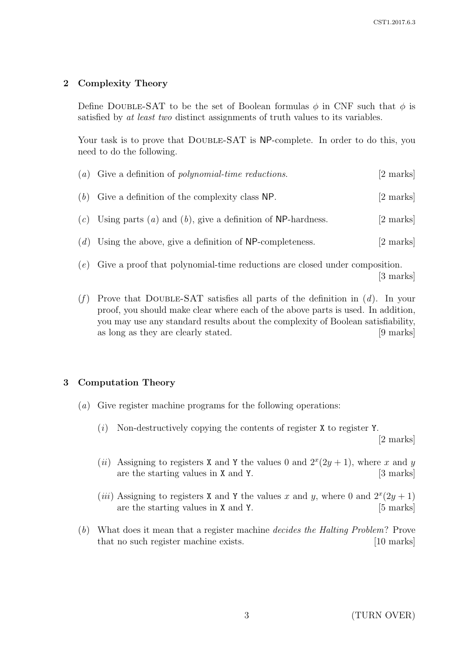# 2 Complexity Theory

Define DOUBLE-SAT to be the set of Boolean formulas  $\phi$  in CNF such that  $\phi$  is satisfied by at least two distinct assignments of truth values to its variables.

Your task is to prove that DOUBLE-SAT is NP-complete. In order to do this, you need to do the following.

| $(a)$ Give a definition of <i>polynomial-time reductions</i> . | [2 marks] |
|----------------------------------------------------------------|-----------|
| $(b)$ Give a definition of the complexity class NP.            | [2 marks] |
| (c) Using parts (a) and (b), give a definition of NP-hardness. | [2 marks] |
| $(d)$ Using the above, give a definition of NP-completeness.   | [2 marks] |
|                                                                |           |

- (e) Give a proof that polynomial-time reductions are closed under composition. [3 marks]
- (f) Prove that DOUBLE-SAT satisfies all parts of the definition in  $(d)$ . In your proof, you should make clear where each of the above parts is used. In addition, you may use any standard results about the complexity of Boolean satisfiability, as long as they are clearly stated. [9 marks]

# 3 Computation Theory

- (a) Give register machine programs for the following operations:
	- $(i)$  Non-destructively copying the contents of register X to register Y. [2 marks]
	- (*ii*) Assigning to registers X and Y the values 0 and  $2^x(2y+1)$ , where x and y are the starting values in X and Y. [3 marks]
	- (*iii*) Assigning to registers X and Y the values x and y, where 0 and  $2^x(2y+1)$ are the starting values in X and Y. [5 marks]
- (b) What does it mean that a register machine decides the Halting Problem? Prove that no such register machine exists. [10 marks]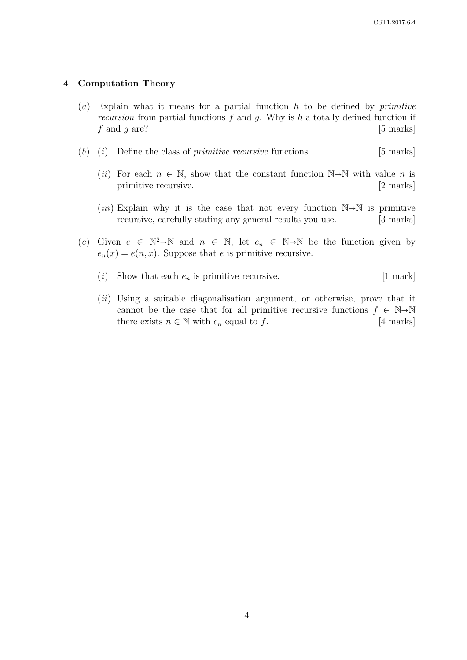#### 4 Computation Theory

- (a) Explain what it means for a partial function  $h$  to be defined by *primitive* recursion from partial functions  $f$  and  $g$ . Why is  $h$  a totally defined function if  $f$  and  $g$  are? [5 marks]
- (b) (i) Define the class of *primitive recursive* functions.  $[5 \text{ marks}]$ 
	- (*ii*) For each  $n \in \mathbb{N}$ , show that the constant function  $\mathbb{N} \rightarrow \mathbb{N}$  with value *n* is primitive recursive. [2 marks] primitive recursive.
	- (*iii*) Explain why it is the case that not every function  $\mathbb{N}\rightarrow\mathbb{N}$  is primitive recursive, carefully stating any general results you use. [3 marks] recursive, carefully stating any general results you use.
- (c) Given  $e \in \mathbb{N}^2 \to \mathbb{N}$  and  $n \in \mathbb{N}$ , let  $e_n \in \mathbb{N} \to \mathbb{N}$  be the function given by  $e_n(x) = e(n, x)$ . Suppose that e is primitive recursive.
	- (i) Show that each  $e_n$  is primitive recursive. [1 mark]
	- $(ii)$  Using a suitable diagonalisation argument, or otherwise, prove that it cannot be the case that for all primitive recursive functions  $f \in \mathbb{N} \rightarrow \mathbb{N}$ <br>there exists  $n \in \mathbb{N}$  with  $e_n$  equal to f. [4 marks] there exists  $n \in \mathbb{N}$  with  $e_n$  equal to f.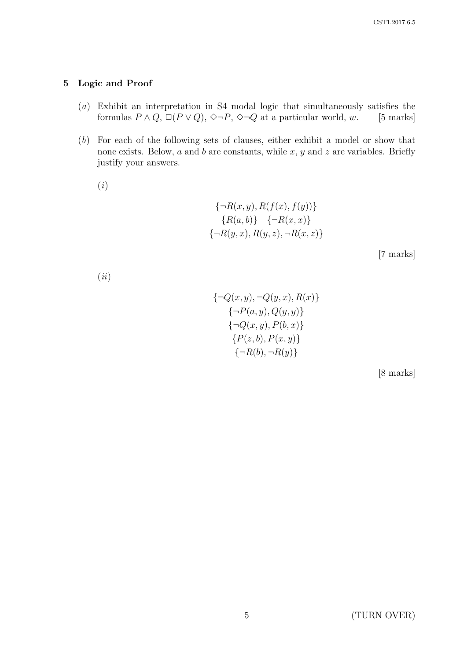## 5 Logic and Proof

- (a) Exhibit an interpretation in S4 modal logic that simultaneously satisfies the formulas  $P \wedge Q$ ,  $\Box (P \vee Q)$ ,  $\Diamond \neg P$ ,  $\Diamond \neg Q$  at a particular world, w. [5 marks]
- (b) For each of the following sets of clauses, either exhibit a model or show that none exists. Below,  $a$  and  $b$  are constants, while  $x, y$  and  $z$  are variables. Briefly justify your answers.

(i)

$$
\{\neg R(x, y), R(f(x), f(y))\}\
$$

$$
\{R(a, b)\} \{\neg R(x, x)\}\
$$

$$
\{\neg R(y, x), R(y, z), \neg R(x, z)\}\
$$

[7 marks]

(ii)

$$
\{\neg Q(x, y), \neg Q(y, x), R(x)\}\
$$
  

$$
\{\neg P(a, y), Q(y, y)\}\
$$
  

$$
\{\neg Q(x, y), P(b, x)\}\
$$
  

$$
\{P(z, b), P(x, y)\}\
$$
  

$$
\{\neg R(b), \neg R(y)\}\
$$

[8 marks]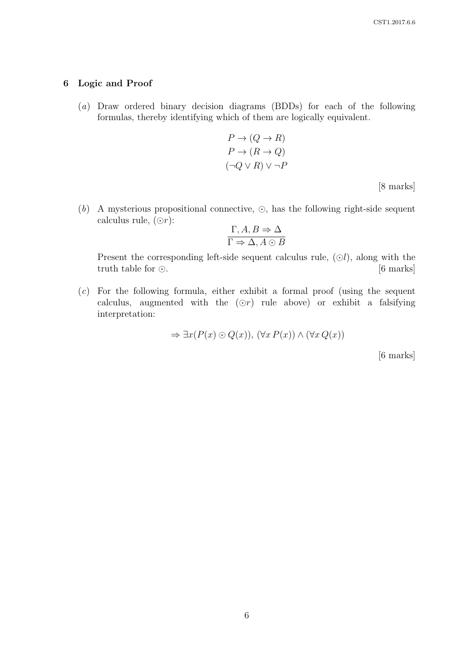## 6 Logic and Proof

(a) Draw ordered binary decision diagrams (BDDs) for each of the following formulas, thereby identifying which of them are logically equivalent.

$$
P \to (Q \to R)
$$
  
\n
$$
P \to (R \to Q)
$$
  
\n
$$
(\neg Q \lor R) \lor \neg P
$$
  
\n[8 marks]

(b) A mysterious propositional connective,  $\odot$ , has the following right-side sequent calculus rule,  $(③r)$ :

$$
\frac{\Gamma, A, B \Rightarrow \Delta}{\Gamma \Rightarrow \Delta, A \odot B}
$$

Present the corresponding left-side sequent calculus rule,  $(\odot l)$ , along with the truth table for  $\odot$ . [6 marks]

 $(c)$  For the following formula, either exhibit a formal proof (using the sequent calculus, augmented with the  $(Or)$  rule above) or exhibit a falsifying interpretation:

$$
\Rightarrow \exists x (P(x) \odot Q(x)), (\forall x P(x)) \land (\forall x Q(x))
$$

[6 marks]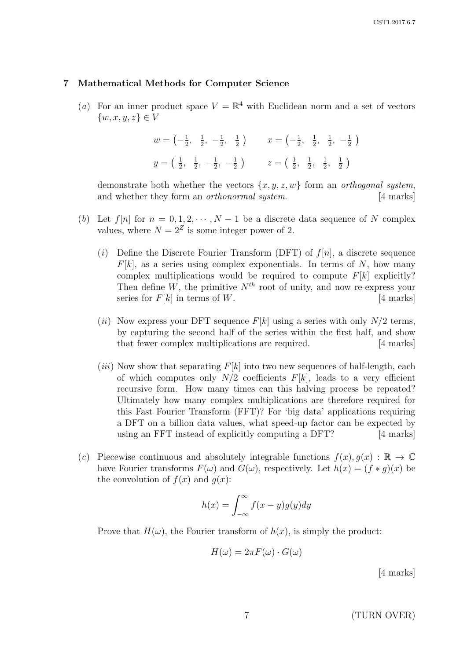#### 7 Mathematical Methods for Computer Science

(a) For an inner product space  $V = \mathbb{R}^4$  with Euclidean norm and a set of vectors  $\{w, x, y, z\} \in V$ 

$$
w = \left(-\frac{1}{2}, \frac{1}{2}, -\frac{1}{2}, \frac{1}{2}\right) \qquad x = \left(-\frac{1}{2}, \frac{1}{2}, \frac{1}{2}, -\frac{1}{2}\right)
$$
  

$$
y = \left(\frac{1}{2}, \frac{1}{2}, -\frac{1}{2}, -\frac{1}{2}\right) \qquad z = \left(\frac{1}{2}, \frac{1}{2}, \frac{1}{2}, \frac{1}{2}\right)
$$

demonstrate both whether the vectors  $\{x, y, z, w\}$  form an *orthogonal system*, and whether they form an *orthonormal system*. [4 marks]

- (b) Let  $f[n]$  for  $n = 0, 1, 2, \dots, N-1$  be a discrete data sequence of N complex values, where  $N = 2^Z$  is some integer power of 2.
	- (i) Define the Discrete Fourier Transform (DFT) of  $f[n]$ , a discrete sequence  $F[k]$ , as a series using complex exponentials. In terms of N, how many complex multiplications would be required to compute  $F[k]$  explicitly? Then define W, the primitive  $N^{th}$  root of unity, and now re-express your series for  $F[k]$  in terms of W. [4 marks]
	- (ii) Now express your DFT sequence  $F[k]$  using a series with only  $N/2$  terms, by capturing the second half of the series within the first half, and show that fewer complex multiplications are required. [4 marks]
	- (*iii*) Now show that separating  $F[k]$  into two new sequences of half-length, each of which computes only  $N/2$  coefficients  $F[k]$ , leads to a very efficient recursive form. How many times can this halving process be repeated? Ultimately how many complex multiplications are therefore required for this Fast Fourier Transform (FFT)? For 'big data' applications requiring a DFT on a billion data values, what speed-up factor can be expected by using an FFT instead of explicitly computing a DFT? [4 marks]
- (c) Piecewise continuous and absolutely integrable functions  $f(x), g(x) : \mathbb{R} \to \mathbb{C}$ have Fourier transforms  $F(\omega)$  and  $G(\omega)$ , respectively. Let  $h(x) = (f * q)(x)$  be the convolution of  $f(x)$  and  $q(x)$ :

$$
h(x) = \int_{-\infty}^{\infty} f(x - y)g(y)dy
$$

Prove that  $H(\omega)$ , the Fourier transform of  $h(x)$ , is simply the product:

$$
H(\omega) = 2\pi F(\omega) \cdot G(\omega)
$$

[4 marks]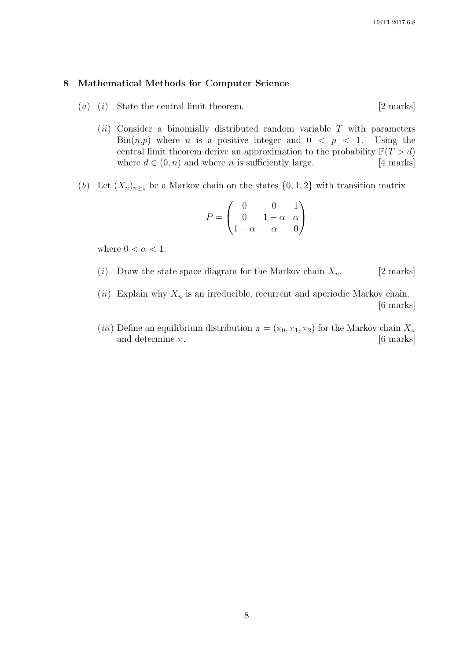#### 8 Mathematical Methods for Computer Science

- $(a)$   $(i)$  State the central limit theorem. [2 marks]
	- $(ii)$  Consider a binomially distributed random variable T with parameters  $\text{Bin}(n,p)$  where *n* is a positive integer and  $0 < p < 1$ . Using the central limit theorem derive an approximation to the probability  $\mathbb{P}(T > d)$ where  $d \in (0, n)$  and where *n* is sufficiently large. [4 marks]
- (b) Let  $(X_n)_{n\geq 1}$  be a Markov chain on the states  $\{0,1,2\}$  with transition matrix

$$
P = \begin{pmatrix} 0 & 0 & 1 \\ 0 & 1 - \alpha & \alpha \\ 1 - \alpha & \alpha & 0 \end{pmatrix}
$$

where  $0 < \alpha < 1$ .

- (i) Draw the state space diagram for the Markov chain  $X_n$ . [2 marks]
- (ii) Explain why  $X_n$  is an irreducible, recurrent and aperiodic Markov chain. [6 marks]
- (*iii*) Define an equilibrium distribution  $\pi = (\pi_0, \pi_1, \pi_2)$  for the Markov chain  $X_n$ and determine  $\pi$ . [6 marks]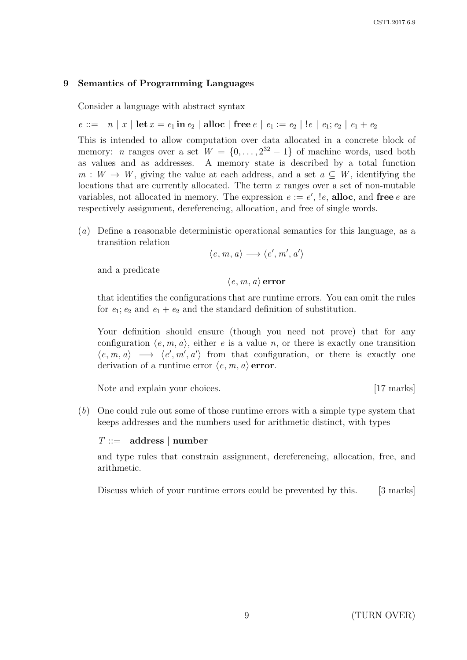# 9 Semantics of Programming Languages

Consider a language with abstract syntax

 $e ::= n | x | \text{let } x = e_1 \text{ in } e_2 | \text{alloc} | \text{free } e | e_1 := e_2 | ! e | e_1; e_2 | e_1 + e_2$ 

This is intended to allow computation over data allocated in a concrete block of memory: *n* ranges over a set  $W = \{0, \ldots, 2^{32} - 1\}$  of machine words, used both as values and as addresses. A memory state is described by a total function  $m: W \to W$ , giving the value at each address, and a set  $a \subseteq W$ , identifying the locations that are currently allocated. The term  $x$  ranges over a set of non-mutable variables, not allocated in memory. The expression  $e := e'$ ,  $\ell$ , alloc, and free e are respectively assignment, dereferencing, allocation, and free of single words.

(a) Define a reasonable deterministic operational semantics for this language, as a transition relation

$$
\langle e, m, a \rangle \longrightarrow \langle e', m', a' \rangle
$$

and a predicate

 $\langle e, m, a \rangle$  error

that identifies the configurations that are runtime errors. You can omit the rules for  $e_1$ ;  $e_2$  and  $e_1 + e_2$  and the standard definition of substitution.

Your definition should ensure (though you need not prove) that for any configuration  $\langle e, m, a \rangle$ , either e is a value n, or there is exactly one transition  $\langle e, m, a \rangle \longrightarrow \langle e', m', a' \rangle$  from that configuration, or there is exactly one derivation of a runtime error  $\langle e, m, a \rangle$  error.

Note and explain your choices. [17 marks]

(b) One could rule out some of those runtime errors with a simple type system that keeps addresses and the numbers used for arithmetic distinct, with types

### $T ::=$  address | number

and type rules that constrain assignment, dereferencing, allocation, free, and arithmetic.

Discuss which of your runtime errors could be prevented by this. [3 marks]